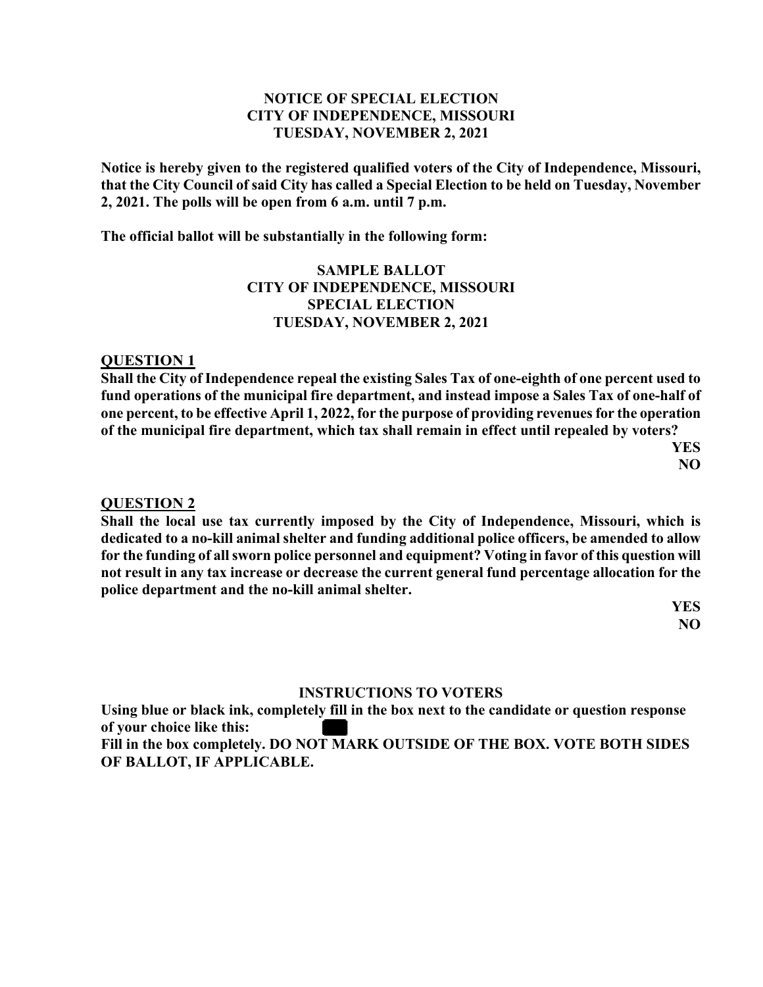### **NOTICE OF SPECIAL ELECTION CITY OF INDEPENDENCE, MISSOURI TUESDAY, NOVEMBER 2, 2021**

**Notice is hereby given to the registered qualified voters of the City of Independence, Missouri, that the City Council of said City has called a Special Election to be held on Tuesday, November 2, 2021. The polls will be open from 6 a.m. until 7 p.m.** 

**The official ballot will be substantially in the following form:** 

## **SAMPLE BALLOT CITY OF INDEPENDENCE, MISSOURI SPECIAL ELECTION TUESDAY, NOVEMBER 2, 2021**

#### **QUESTION 1**

**Shall the City of Independence repeal the existing Sales Tax of one-eighth of one percent used to fund operations of the municipal fire department, and instead impose a Sales Tax of one-half of one percent, to be effective April 1, 2022, for the purpose of providing revenues for the operation of the municipal fire department, which tax shall remain in effect until repealed by voters?** 

 **YES NO** 

#### **QUESTION 2**

**Shall the local use tax currently imposed by the City of Independence, Missouri, which is dedicated to a no-kill animal shelter and funding additional police officers, be amended to allow for the funding of all sworn police personnel and equipment? Voting in favor of this question will not result in any tax increase or decrease the current general fund percentage allocation for the police department and the no-kill animal shelter.** 

> **YES NO**

#### **INSTRUCTIONS TO VOTERS**

**Using blue or black ink, completely fill in the box next to the candidate or question response of your choice like this: Fill in the box completely. DO NOT MARK OUTSIDE OF THE BOX. VOTE BOTH SIDES** 

**OF BALLOT, IF APPLICABLE.**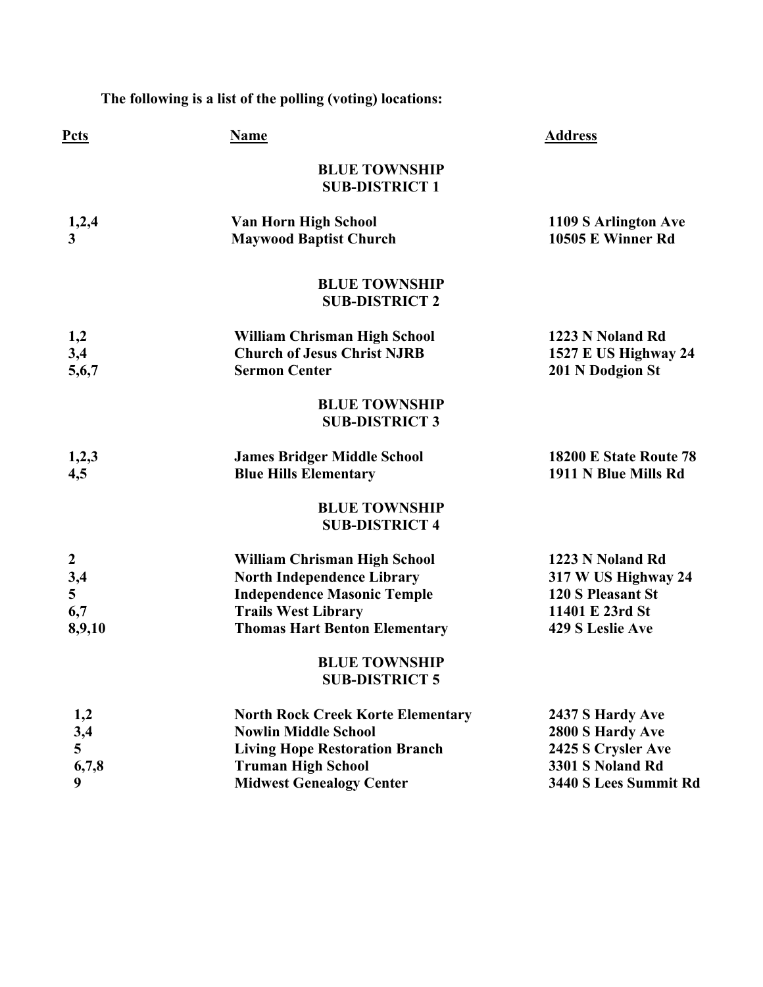**The following is a list of the polling (voting) locations:** 

| Pcts                                                        | <b>Name</b>                                                                                                                                                                          | <b>Address</b>                                                                                                    |
|-------------------------------------------------------------|--------------------------------------------------------------------------------------------------------------------------------------------------------------------------------------|-------------------------------------------------------------------------------------------------------------------|
|                                                             | <b>BLUE TOWNSHIP</b><br><b>SUB-DISTRICT 1</b>                                                                                                                                        |                                                                                                                   |
| 1,2,4<br>$\overline{\mathbf{3}}$                            | Van Horn High School<br><b>Maywood Baptist Church</b>                                                                                                                                | 1109 S Arlington Ave<br>10505 E Winner Rd                                                                         |
|                                                             | <b>BLUE TOWNSHIP</b><br><b>SUB-DISTRICT 2</b>                                                                                                                                        |                                                                                                                   |
| 1,2<br>3,4<br>5,6,7                                         | William Chrisman High School<br><b>Church of Jesus Christ NJRB</b><br><b>Sermon Center</b>                                                                                           | 1223 N Noland Rd<br>1527 E US Highway 24<br>201 N Dodgion St                                                      |
|                                                             | <b>BLUE TOWNSHIP</b><br><b>SUB-DISTRICT 3</b>                                                                                                                                        |                                                                                                                   |
| 1,2,3<br>4,5                                                | <b>James Bridger Middle School</b><br><b>Blue Hills Elementary</b>                                                                                                                   | 18200 E State Route 78<br>1911 N Blue Mills Rd                                                                    |
|                                                             | <b>BLUE TOWNSHIP</b><br><b>SUB-DISTRICT 4</b>                                                                                                                                        |                                                                                                                   |
| $\boldsymbol{2}$<br>3,4<br>$5\overline{)}$<br>6,7<br>8,9,10 | <b>William Chrisman High School</b><br><b>North Independence Library</b><br><b>Independence Masonic Temple</b><br><b>Trails West Library</b><br><b>Thomas Hart Benton Elementary</b> | 1223 N Noland Rd<br>317 W US Highway 24<br><b>120 S Pleasant St</b><br>11401 E 23rd St<br><b>429 S Leslie Ave</b> |
|                                                             | <b>BLUE TOWNSHIP</b><br><b>SUB-DISTRICT 5</b>                                                                                                                                        |                                                                                                                   |
| 1,2<br>3,4<br>5<br>6,7,8<br>$\boldsymbol{9}$                | <b>North Rock Creek Korte Elementary</b><br><b>Nowlin Middle School</b><br><b>Living Hope Restoration Branch</b><br><b>Truman High School</b><br><b>Midwest Genealogy Center</b>     | 2437 S Hardy Ave<br>2800 S Hardy Ave<br>2425 S Crysler Ave<br>3301 S Noland Rd<br>3440 S Lees Summit Rd           |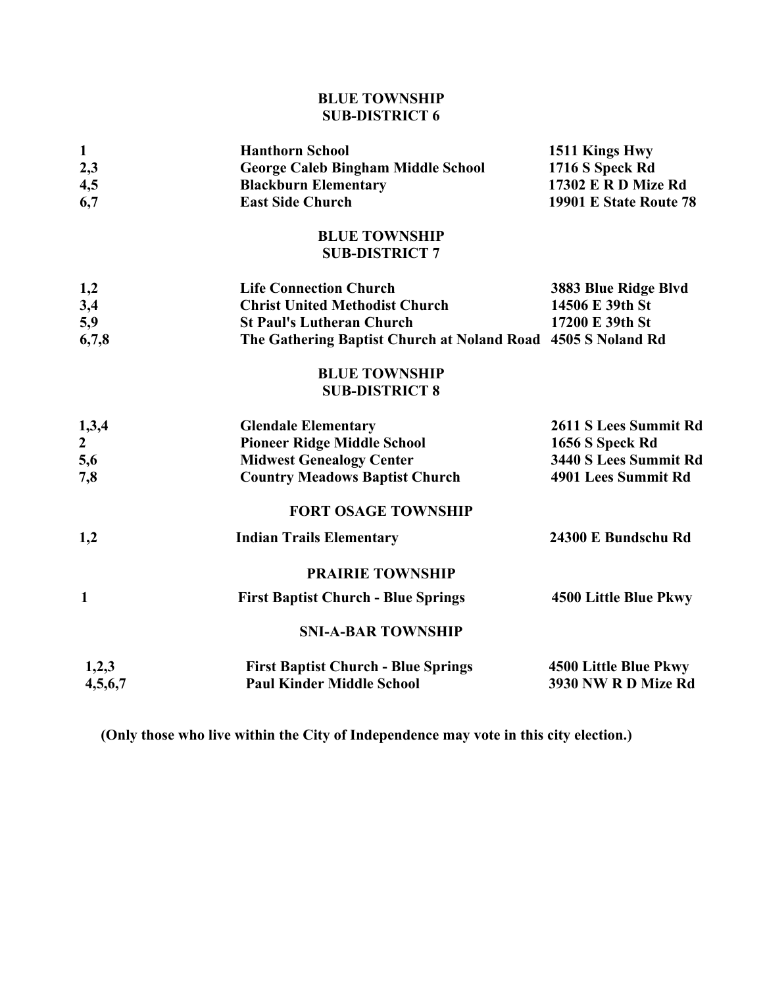# **BLUE TOWNSHIP SUB-DISTRICT 6**

| $\mathbf{1}$   | <b>Hanthorn School</b>                                       | 1511 Kings Hwy             |
|----------------|--------------------------------------------------------------|----------------------------|
| 2,3            | <b>George Caleb Bingham Middle School</b>                    | 1716 S Speck Rd            |
| 4,5            | <b>Blackburn Elementary</b>                                  | <b>17302 E R D Mize Rd</b> |
| 6,7            | <b>East Side Church</b>                                      | 19901 E State Route 78     |
|                | <b>BLUE TOWNSHIP</b><br><b>SUB-DISTRICT 7</b>                |                            |
| 1,2            | <b>Life Connection Church</b>                                | 3883 Blue Ridge Blvd       |
| 3,4            | <b>Christ United Methodist Church</b>                        | 14506 E 39th St            |
| 5,9            | <b>St Paul's Lutheran Church</b>                             | 17200 E 39th St            |
| 6,7,8          | The Gathering Baptist Church at Noland Road 4505 S Noland Rd |                            |
|                | <b>BLUE TOWNSHIP</b><br><b>SUB-DISTRICT 8</b>                |                            |
| 1,3,4          | <b>Glendale Elementary</b>                                   | 2611 S Lees Summit Rd      |
| $\overline{2}$ | <b>Pioneer Ridge Middle School</b>                           | 1656 S Speck Rd            |
| 5,6            | <b>Midwest Genealogy Center</b>                              | 3440 S Lees Summit Rd      |
| 7,8            | <b>Country Meadows Baptist Church</b>                        | 4901 Lees Summit Rd        |
|                | <b>FORT OSAGE TOWNSHIP</b>                                   |                            |
| 1,2            | <b>Indian Trails Elementary</b>                              | 24300 E Bundschu Rd        |
|                | <b>PRAIRIE TOWNSHIP</b>                                      |                            |
| $\mathbf{1}$   | <b>First Baptist Church - Blue Springs</b>                   | 4500 Little Blue Pkwy      |
|                | <b>SNI-A-BAR TOWNSHIP</b>                                    |                            |
| 1,2,3          | <b>First Baptist Church - Blue Springs</b>                   | 4500 Little Blue Pkwy      |
| 4,5,6,7        | <b>Paul Kinder Middle School</b>                             | 3930 NW R D Mize Rd        |

**(Only those who live within the City of Independence may vote in this city election.)**